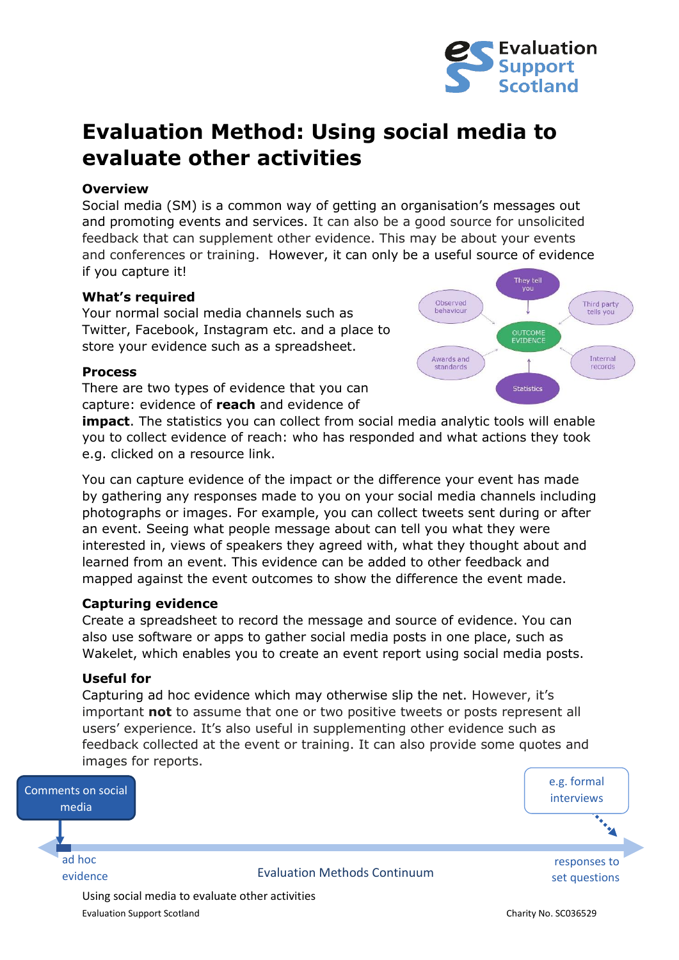

# **Evaluation Method: Using social media to evaluate other activities**

#### **Overview**

Social media (SM) is a common way of getting an organisation's messages out and promoting events and services. It can also be a good source for unsolicited feedback that can supplement other evidence. This may be about your events and conferences or training. However, it can only be a useful source of evidence if you capture it!

## **What's required**

Your normal social media channels such as Twitter, Facebook, Instagram etc. and a place to store your evidence such as a spreadsheet.

## **Process**

There are two types of evidence that you can capture: evidence of **reach** and evidence of



**impact**. The statistics you can collect from social media analytic tools will enable you to collect evidence of reach: who has responded and what actions they took e.g. clicked on a resource link.

You can capture evidence of the impact or the difference your event has made by gathering any responses made to you on your social media channels including photographs or images. For example, you can collect tweets sent during or after an event. Seeing what people message about can tell you what they were interested in, views of speakers they agreed with, what they thought about and learned from an event. This evidence can be added to other feedback and mapped against the event outcomes to show the difference the event made.

#### **Capturing evidence**

Create a spreadsheet to record the message and source of evidence. You can also use software or apps to gather social media posts in one place, such as Wakelet, which enables you to create an event report using social media posts.

#### **Useful for**

Capturing ad hoc evidence which may otherwise slip the net. However, it's important **not** to assume that one or two positive tweets or posts represent all users' experience. It's also useful in supplementing other evidence such as feedback collected at the event or training. It can also provide some quotes and images for reports.